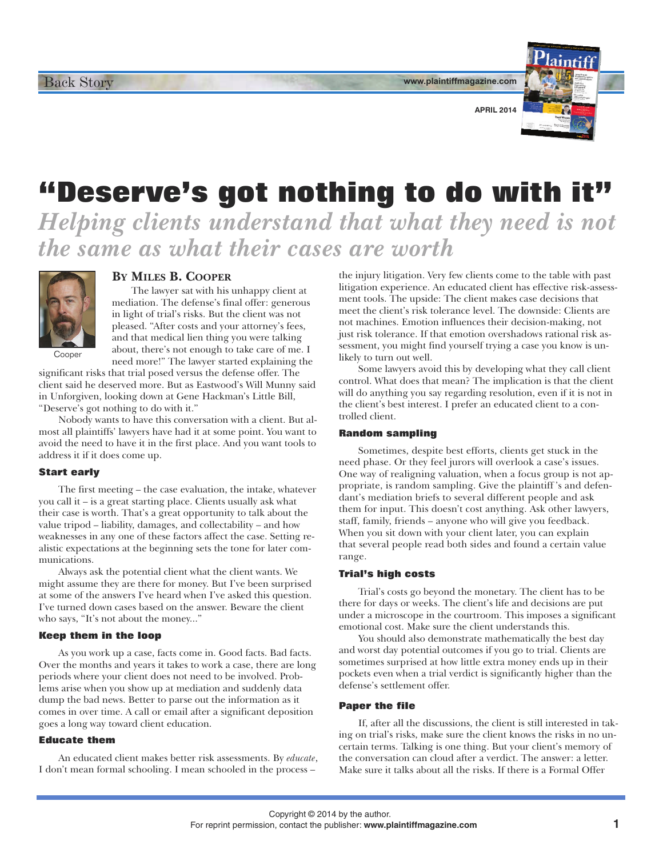**www.plaintiffmagazine.com**



**APRIL 2014**

# **"Deserve's got nothing to do with it"**

*Helping clients understand that what they need is not the same as what their cases are worth*



# **BY MILES B. COOPER**

The lawyer sat with his unhappy client at mediation. The defense's final offer: generous in light of trial's risks. But the client was not pleased. "After costs and your attorney's fees, and that medical lien thing you were talking about, there's not enough to take care of me. I need more!" The lawyer started explaining the

significant risks that trial posed versus the defense offer. The client said he deserved more. But as Eastwood's Will Munny said in Unforgiven, looking down at Gene Hackman's Little Bill, "Deserve's got nothing to do with it."

Nobody wants to have this conversation with a client. But almost all plaintiffs' lawyers have had it at some point. You want to avoid the need to have it in the first place. And you want tools to address it if it does come up.

## **Start early**

The first meeting – the case evaluation, the intake, whatever you call it – is a great starting place. Clients usually ask what their case is worth. That's a great opportunity to talk about the value tripod – liability, damages, and collectability – and how weaknesses in any one of these factors affect the case. Setting realistic expectations at the beginning sets the tone for later communications.

Always ask the potential client what the client wants. We might assume they are there for money. But I've been surprised at some of the answers I've heard when I've asked this question. I've turned down cases based on the answer. Beware the client who says, "It's not about the money..."

# **Keep them in the loop**

As you work up a case, facts come in. Good facts. Bad facts. Over the months and years it takes to work a case, there are long periods where your client does not need to be involved. Problems arise when you show up at mediation and suddenly data dump the bad news. Better to parse out the information as it comes in over time. A call or email after a significant deposition goes a long way toward client education.

## **Educate them**

An educated client makes better risk assessments. By *educate*, I don't mean formal schooling. I mean schooled in the process –

the injury litigation. Very few clients come to the table with past litigation experience. An educated client has effective risk-assessment tools. The upside: The client makes case decisions that meet the client's risk tolerance level. The downside: Clients are not machines. Emotion influences their decision-making, not just risk tolerance. If that emotion overshadows rational risk assessment, you might find yourself trying a case you know is unlikely to turn out well.

Some lawyers avoid this by developing what they call client control. What does that mean? The implication is that the client will do anything you say regarding resolution, even if it is not in the client's best interest. I prefer an educated client to a controlled client.

#### **Random sampling**

Sometimes, despite best efforts, clients get stuck in the need phase. Or they feel jurors will overlook a case's issues. One way of realigning valuation, when a focus group is not appropriate, is random sampling. Give the plaintiff 's and defendant's mediation briefs to several different people and ask them for input. This doesn't cost anything. Ask other lawyers, staff, family, friends – anyone who will give you feedback. When you sit down with your client later, you can explain that several people read both sides and found a certain value range.

## **Trial's high costs**

Trial's costs go beyond the monetary. The client has to be there for days or weeks. The client's life and decisions are put under a microscope in the courtroom. This imposes a significant emotional cost. Make sure the client understands this.

You should also demonstrate mathematically the best day and worst day potential outcomes if you go to trial. Clients are sometimes surprised at how little extra money ends up in their pockets even when a trial verdict is significantly higher than the defense's settlement offer.

#### **Paper the file**

If, after all the discussions, the client is still interested in taking on trial's risks, make sure the client knows the risks in no uncertain terms. Talking is one thing. But your client's memory of the conversation can cloud after a verdict. The answer: a letter. Make sure it talks about all the risks. If there is a Formal Offer